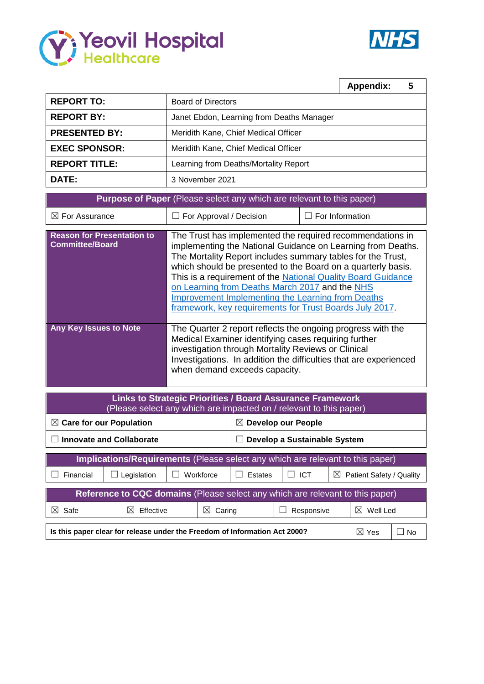



|                                                                              |                                                                                                                                                                                                                                                                                                                         |  | <b>Appendix:</b> | 5 |  |  |  |  |  |  |  |
|------------------------------------------------------------------------------|-------------------------------------------------------------------------------------------------------------------------------------------------------------------------------------------------------------------------------------------------------------------------------------------------------------------------|--|------------------|---|--|--|--|--|--|--|--|
| <b>REPORT TO:</b>                                                            | <b>Board of Directors</b>                                                                                                                                                                                                                                                                                               |  |                  |   |  |  |  |  |  |  |  |
| <b>REPORT BY:</b>                                                            | Janet Ebdon, Learning from Deaths Manager                                                                                                                                                                                                                                                                               |  |                  |   |  |  |  |  |  |  |  |
| <b>PRESENTED BY:</b>                                                         | Meridith Kane, Chief Medical Officer                                                                                                                                                                                                                                                                                    |  |                  |   |  |  |  |  |  |  |  |
| <b>EXEC SPONSOR:</b>                                                         | Meridith Kane, Chief Medical Officer                                                                                                                                                                                                                                                                                    |  |                  |   |  |  |  |  |  |  |  |
| <b>REPORT TITLE:</b>                                                         | Learning from Deaths/Mortality Report                                                                                                                                                                                                                                                                                   |  |                  |   |  |  |  |  |  |  |  |
| DATE:                                                                        | 3 November 2021                                                                                                                                                                                                                                                                                                         |  |                  |   |  |  |  |  |  |  |  |
| <b>Purpose of Paper</b> (Please select any which are relevant to this paper) |                                                                                                                                                                                                                                                                                                                         |  |                  |   |  |  |  |  |  |  |  |
| $\boxtimes$ For Assurance                                                    | $\Box$ For Information<br>For Approval / Decision<br>$\Box$                                                                                                                                                                                                                                                             |  |                  |   |  |  |  |  |  |  |  |
| <b>Reason for Presentation to</b><br><b>Committee/Board</b>                  | The Trust has implemented the required recommendations in<br>implementing the National Guidance on Learning from Deaths.<br>The Mortality Report includes summary tables for the Trust,<br>which should be presented to the Board on a quarterly basis.<br>This is a requirement of the National Quality Desud Quidense |  |                  |   |  |  |  |  |  |  |  |

|                               | This is a requirement of the National Quality Board Guidance<br>on Learning from Deaths March 2017 and the NHS<br><b>Improvement Implementing the Learning from Deaths</b><br>framework, key requirements for Trust Boards July 2017.                                            |
|-------------------------------|----------------------------------------------------------------------------------------------------------------------------------------------------------------------------------------------------------------------------------------------------------------------------------|
| <b>Any Key Issues to Note</b> | The Quarter 2 report reflects the ongoing progress with the<br>Medical Examiner identifying cases requiring further<br>investigation through Mortality Reviews or Clinical<br>Investigations. In addition the difficulties that are experienced<br>when demand exceeds capacity. |

| <b>Links to Strategic Priorities / Board Assurance Framework</b><br>(Please select any which are impacted on / relevant to this paper) |                                 |           |                       |                                |                                     |           |                          |  |  |  |  |  |  |
|----------------------------------------------------------------------------------------------------------------------------------------|---------------------------------|-----------|-----------------------|--------------------------------|-------------------------------------|-----------|--------------------------|--|--|--|--|--|--|
| $\boxtimes$ Care for our Population                                                                                                    |                                 |           |                       | <b>Develop our People</b><br>⋈ |                                     |           |                          |  |  |  |  |  |  |
|                                                                                                                                        | <b>Innovate and Collaborate</b> |           |                       | Develop a Sustainable System   |                                     |           |                          |  |  |  |  |  |  |
|                                                                                                                                        |                                 |           |                       |                                |                                     |           |                          |  |  |  |  |  |  |
| Implications/Requirements (Please select any which are relevant to this paper)                                                         |                                 |           |                       |                                |                                     |           |                          |  |  |  |  |  |  |
| Financial                                                                                                                              | Legislation                     |           | Workforce             | Estates                        | <b>ICT</b>                          | $\bowtie$ | Patient Safety / Quality |  |  |  |  |  |  |
|                                                                                                                                        |                                 |           |                       |                                |                                     |           |                          |  |  |  |  |  |  |
| Reference to CQC domains (Please select any which are relevant to this paper)                                                          |                                 |           |                       |                                |                                     |           |                          |  |  |  |  |  |  |
| $\boxtimes$<br>Safe                                                                                                                    | $\bowtie$                       | Effective | $\boxtimes$<br>Caring |                                | $\bowtie$<br>Well Led<br>Responsive |           |                          |  |  |  |  |  |  |
|                                                                                                                                        |                                 |           |                       |                                |                                     |           |                          |  |  |  |  |  |  |
| Is this paper clear for release under the Freedom of Information Act 2000?<br>$\boxtimes$ Yes                                          |                                 |           |                       |                                |                                     |           |                          |  |  |  |  |  |  |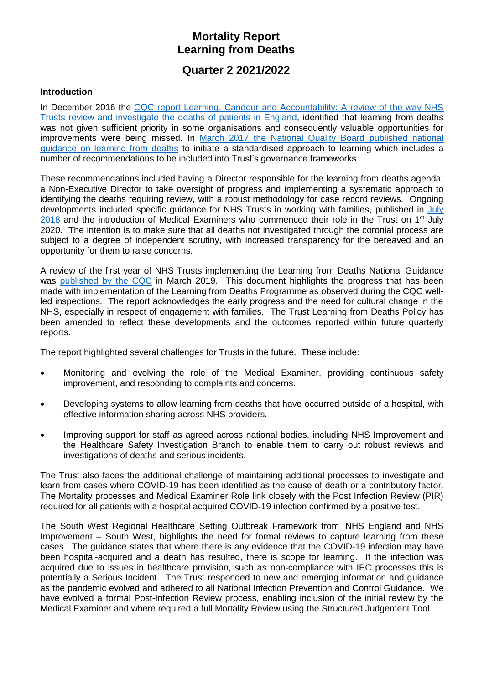# **Mortality Report Learning from Deaths**

# **Quarter 2 2021/2022**

#### **Introduction**

In December 2016 the [CQC report Learning, Candour and Accountability: A review of the way NHS](https://www.cqc.org.uk/sites/default/files/20161212-learning-candour-accountability-summary.pdf)  [Trusts review and investigate the](https://www.cqc.org.uk/sites/default/files/20161212-learning-candour-accountability-summary.pdf) deaths of patients in England, identified that learning from deaths was not given sufficient priority in some organisations and consequently valuable opportunities for improvements were being missed. In [March 2017 the National Quality Board published national](https://www.england.nhs.uk/wp-content/uploads/2017/03/nqb-national-guidance-learning-from-deaths.pdf)  [guidance on learning from deaths](https://www.england.nhs.uk/wp-content/uploads/2017/03/nqb-national-guidance-learning-from-deaths.pdf) to initiate a standardised approach to learning which includes a number of recommendations to be included into Trust's governance frameworks.

These recommendations included having a Director responsible for the learning from deaths agenda, a Non-Executive Director to take oversight of progress and implementing a systematic approach to identifying the deaths requiring review, with a robust methodology for case record reviews. Ongoing developments included specific guidance for NHS Trusts in working with families, published in [July](https://www.england.nhs.uk/wp-content/uploads/2018/08/learning-from-deaths-working-with-families-v2.pdf)  $2018$  and the introduction of Medical Examiners who commenced their role in the Trust on 1<sup>st</sup> July 2020. The intention is to make sure that all deaths not investigated through the coronial process are subject to a degree of independent scrutiny, with increased transparency for the bereaved and an opportunity for them to raise concerns.

A review of the first year of NHS Trusts implementing the Learning from Deaths National Guidance was [published by the CQC](https://www.cqc.org.uk/publications/themed-work/learning-deaths) in March 2019. This document highlights the progress that has been made with implementation of the Learning from Deaths Programme as observed during the CQC wellled inspections. The report acknowledges the early progress and the need for cultural change in the NHS, especially in respect of engagement with families. The Trust Learning from Deaths Policy has been amended to reflect these developments and the outcomes reported within future quarterly reports.

The report highlighted several challenges for Trusts in the future. These include:

- Monitoring and evolving the role of the Medical Examiner, providing continuous safety improvement, and responding to complaints and concerns.
- Developing systems to allow learning from deaths that have occurred outside of a hospital, with effective information sharing across NHS providers.
- Improving support for staff as agreed across national bodies, including NHS Improvement and the Healthcare Safety Investigation Branch to enable them to carry out robust reviews and investigations of deaths and serious incidents.

The Trust also faces the additional challenge of maintaining additional processes to investigate and learn from cases where COVID-19 has been identified as the cause of death or a contributory factor. The Mortality processes and Medical Examiner Role link closely with the Post Infection Review (PIR) required for all patients with a hospital acquired COVID-19 infection confirmed by a positive test.

The South West Regional Healthcare Setting Outbreak Framework from NHS England and NHS Improvement – South West, highlights the need for formal reviews to capture learning from these cases. The guidance states that where there is any evidence that the COVID-19 infection may have been hospital-acquired and a death has resulted, there is scope for learning. If the infection was acquired due to issues in healthcare provision, such as non-compliance with IPC processes this is potentially a Serious Incident. The Trust responded to new and emerging information and guidance as the pandemic evolved and adhered to all National Infection Prevention and Control Guidance. We have evolved a formal Post-Infection Review process, enabling inclusion of the initial review by the Medical Examiner and where required a full Mortality Review using the Structured Judgement Tool.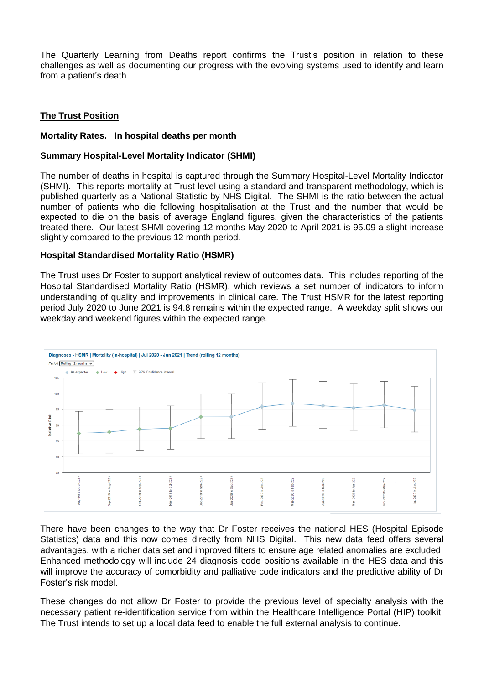The Quarterly Learning from Deaths report confirms the Trust's position in relation to these challenges as well as documenting our progress with the evolving systems used to identify and learn from a patient's death.

### **The Trust Position**

#### **Mortality Rates. In hospital deaths per month**

#### **Summary Hospital-Level Mortality Indicator (SHMI)**

The number of deaths in hospital is captured through the Summary Hospital-Level Mortality Indicator (SHMI). This reports mortality at Trust level using a standard and transparent methodology, which is published quarterly as a National Statistic by NHS Digital. The SHMI is the ratio between the actual number of patients who die following hospitalisation at the Trust and the number that would be expected to die on the basis of average England figures, given the characteristics of the patients treated there. Our latest SHMI covering 12 months May 2020 to April 2021 is 95.09 a slight increase slightly compared to the previous 12 month period.

#### **Hospital Standardised Mortality Ratio (HSMR)**

The Trust uses Dr Foster to support analytical review of outcomes data. This includes reporting of the Hospital Standardised Mortality Ratio (HSMR), which reviews a set number of indicators to inform understanding of quality and improvements in clinical care. The Trust HSMR for the latest reporting period July 2020 to June 2021 is 94.8 remains within the expected range. A weekday split shows our weekday and weekend figures within the expected range.



There have been changes to the way that Dr Foster receives the national HES (Hospital Episode Statistics) data and this now comes directly from NHS Digital. This new data feed offers several advantages, with a richer data set and improved filters to ensure age related anomalies are excluded. Enhanced methodology will include 24 diagnosis code positions available in the HES data and this will improve the accuracy of comorbidity and palliative code indicators and the predictive ability of Dr Foster's risk model.

These changes do not allow Dr Foster to provide the previous level of specialty analysis with the necessary patient re-identification service from within the Healthcare Intelligence Portal (HIP) toolkit. The Trust intends to set up a local data feed to enable the full external analysis to continue.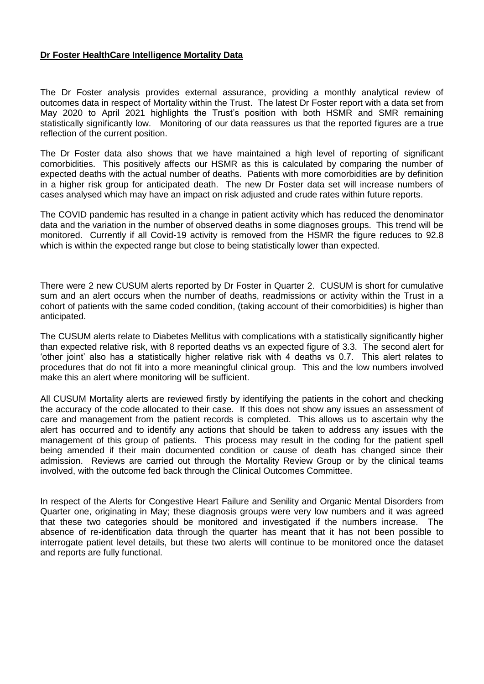#### **Dr Foster HealthCare Intelligence Mortality Data**

The Dr Foster analysis provides external assurance, providing a monthly analytical review of outcomes data in respect of Mortality within the Trust. The latest Dr Foster report with a data set from May 2020 to April 2021 highlights the Trust's position with both HSMR and SMR remaining statistically significantly low. Monitoring of our data reassures us that the reported figures are a true reflection of the current position.

The Dr Foster data also shows that we have maintained a high level of reporting of significant comorbidities. This positively affects our HSMR as this is calculated by comparing the number of expected deaths with the actual number of deaths. Patients with more comorbidities are by definition in a higher risk group for anticipated death. The new Dr Foster data set will increase numbers of cases analysed which may have an impact on risk adjusted and crude rates within future reports.

The COVID pandemic has resulted in a change in patient activity which has reduced the denominator data and the variation in the number of observed deaths in some diagnoses groups. This trend will be monitored. Currently if all Covid-19 activity is removed from the HSMR the figure reduces to 92.8 which is within the expected range but close to being statistically lower than expected.

There were 2 new CUSUM alerts reported by Dr Foster in Quarter 2. CUSUM is short for cumulative sum and an alert occurs when the number of deaths, readmissions or activity within the Trust in a cohort of patients with the same coded condition, (taking account of their comorbidities) is higher than anticipated.

The CUSUM alerts relate to Diabetes Mellitus with complications with a statistically significantly higher than expected relative risk, with 8 reported deaths vs an expected figure of 3.3. The second alert for 'other joint' also has a statistically higher relative risk with 4 deaths vs 0.7. This alert relates to procedures that do not fit into a more meaningful clinical group. This and the low numbers involved make this an alert where monitoring will be sufficient.

All CUSUM Mortality alerts are reviewed firstly by identifying the patients in the cohort and checking the accuracy of the code allocated to their case. If this does not show any issues an assessment of care and management from the patient records is completed. This allows us to ascertain why the alert has occurred and to identify any actions that should be taken to address any issues with the management of this group of patients. This process may result in the coding for the patient spell being amended if their main documented condition or cause of death has changed since their admission. Reviews are carried out through the Mortality Review Group or by the clinical teams involved, with the outcome fed back through the Clinical Outcomes Committee.

In respect of the Alerts for Congestive Heart Failure and Senility and Organic Mental Disorders from Quarter one, originating in May; these diagnosis groups were very low numbers and it was agreed that these two categories should be monitored and investigated if the numbers increase. The absence of re-identification data through the quarter has meant that it has not been possible to interrogate patient level details, but these two alerts will continue to be monitored once the dataset and reports are fully functional.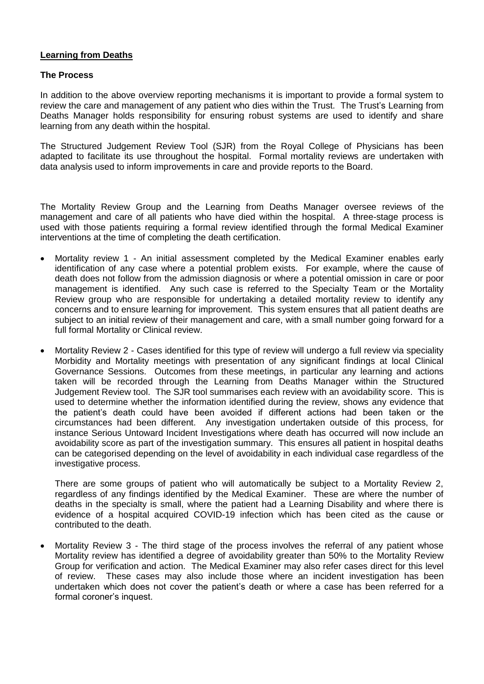#### **Learning from Deaths**

#### **The Process**

In addition to the above overview reporting mechanisms it is important to provide a formal system to review the care and management of any patient who dies within the Trust. The Trust's Learning from Deaths Manager holds responsibility for ensuring robust systems are used to identify and share learning from any death within the hospital.

The Structured Judgement Review Tool (SJR) from the Royal College of Physicians has been adapted to facilitate its use throughout the hospital. Formal mortality reviews are undertaken with data analysis used to inform improvements in care and provide reports to the Board.

The Mortality Review Group and the Learning from Deaths Manager oversee reviews of the management and care of all patients who have died within the hospital. A three-stage process is used with those patients requiring a formal review identified through the formal Medical Examiner interventions at the time of completing the death certification.

- Mortality review 1 An initial assessment completed by the Medical Examiner enables early identification of any case where a potential problem exists. For example, where the cause of death does not follow from the admission diagnosis or where a potential omission in care or poor management is identified. Any such case is referred to the Specialty Team or the Mortality Review group who are responsible for undertaking a detailed mortality review to identify any concerns and to ensure learning for improvement. This system ensures that all patient deaths are subject to an initial review of their management and care, with a small number going forward for a full formal Mortality or Clinical review.
- Mortality Review 2 Cases identified for this type of review will undergo a full review via speciality Morbidity and Mortality meetings with presentation of any significant findings at local Clinical Governance Sessions. Outcomes from these meetings, in particular any learning and actions taken will be recorded through the Learning from Deaths Manager within the Structured Judgement Review tool. The SJR tool summarises each review with an avoidability score. This is used to determine whether the information identified during the review, shows any evidence that the patient's death could have been avoided if different actions had been taken or the circumstances had been different. Any investigation undertaken outside of this process, for instance Serious Untoward Incident Investigations where death has occurred will now include an avoidability score as part of the investigation summary. This ensures all patient in hospital deaths can be categorised depending on the level of avoidability in each individual case regardless of the investigative process.

There are some groups of patient who will automatically be subject to a Mortality Review 2, regardless of any findings identified by the Medical Examiner. These are where the number of deaths in the specialty is small, where the patient had a Learning Disability and where there is evidence of a hospital acquired COVID-19 infection which has been cited as the cause or contributed to the death.

 Mortality Review 3 - The third stage of the process involves the referral of any patient whose Mortality review has identified a degree of avoidability greater than 50% to the Mortality Review Group for verification and action. The Medical Examiner may also refer cases direct for this level of review. These cases may also include those where an incident investigation has been undertaken which does not cover the patient's death or where a case has been referred for a formal coroner's inquest.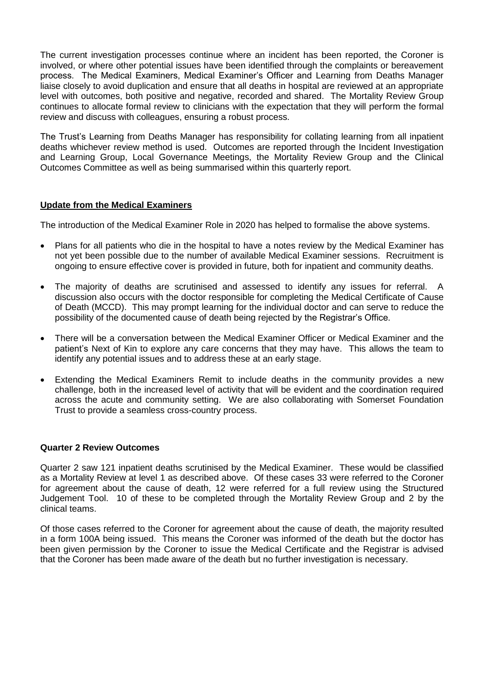The current investigation processes continue where an incident has been reported, the Coroner is involved, or where other potential issues have been identified through the complaints or bereavement process. The Medical Examiners, Medical Examiner's Officer and Learning from Deaths Manager liaise closely to avoid duplication and ensure that all deaths in hospital are reviewed at an appropriate level with outcomes, both positive and negative, recorded and shared. The Mortality Review Group continues to allocate formal review to clinicians with the expectation that they will perform the formal review and discuss with colleagues, ensuring a robust process.

The Trust's Learning from Deaths Manager has responsibility for collating learning from all inpatient deaths whichever review method is used. Outcomes are reported through the Incident Investigation and Learning Group, Local Governance Meetings, the Mortality Review Group and the Clinical Outcomes Committee as well as being summarised within this quarterly report.

#### **Update from the Medical Examiners**

The introduction of the Medical Examiner Role in 2020 has helped to formalise the above systems.

- Plans for all patients who die in the hospital to have a notes review by the Medical Examiner has not yet been possible due to the number of available Medical Examiner sessions. Recruitment is ongoing to ensure effective cover is provided in future, both for inpatient and community deaths.
- The majority of deaths are scrutinised and assessed to identify any issues for referral. A discussion also occurs with the doctor responsible for completing the Medical Certificate of Cause of Death (MCCD). This may prompt learning for the individual doctor and can serve to reduce the possibility of the documented cause of death being rejected by the Registrar's Office.
- There will be a conversation between the Medical Examiner Officer or Medical Examiner and the patient's Next of Kin to explore any care concerns that they may have. This allows the team to identify any potential issues and to address these at an early stage.
- Extending the Medical Examiners Remit to include deaths in the community provides a new challenge, both in the increased level of activity that will be evident and the coordination required across the acute and community setting. We are also collaborating with Somerset Foundation Trust to provide a seamless cross-country process.

#### **Quarter 2 Review Outcomes**

Quarter 2 saw 121 inpatient deaths scrutinised by the Medical Examiner. These would be classified as a Mortality Review at level 1 as described above. Of these cases 33 were referred to the Coroner for agreement about the cause of death, 12 were referred for a full review using the Structured Judgement Tool. 10 of these to be completed through the Mortality Review Group and 2 by the clinical teams.

Of those cases referred to the Coroner for agreement about the cause of death, the majority resulted in a form 100A being issued. This means the Coroner was informed of the death but the doctor has been given permission by the Coroner to issue the Medical Certificate and the Registrar is advised that the Coroner has been made aware of the death but no further investigation is necessary.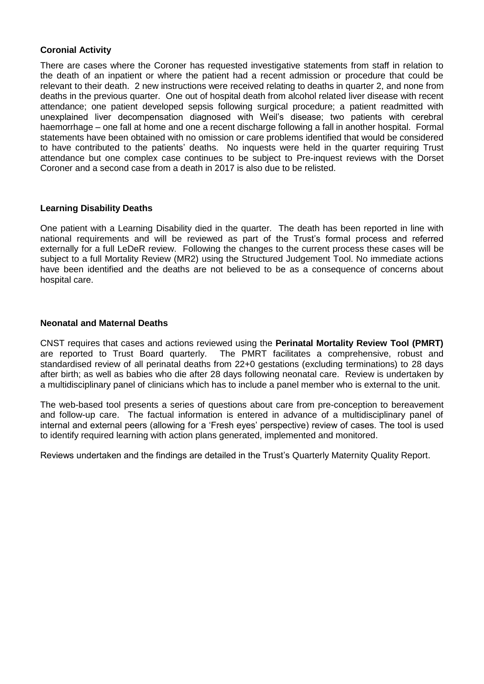#### **Coronial Activity**

There are cases where the Coroner has requested investigative statements from staff in relation to the death of an inpatient or where the patient had a recent admission or procedure that could be relevant to their death. 2 new instructions were received relating to deaths in quarter 2, and none from deaths in the previous quarter. One out of hospital death from alcohol related liver disease with recent attendance; one patient developed sepsis following surgical procedure; a patient readmitted with unexplained liver decompensation diagnosed with Weil's disease; two patients with cerebral haemorrhage – one fall at home and one a recent discharge following a fall in another hospital. Formal statements have been obtained with no omission or care problems identified that would be considered to have contributed to the patients' deaths. No inquests were held in the quarter requiring Trust attendance but one complex case continues to be subject to Pre-inquest reviews with the Dorset Coroner and a second case from a death in 2017 is also due to be relisted.

#### **Learning Disability Deaths**

One patient with a Learning Disability died in the quarter. The death has been reported in line with national requirements and will be reviewed as part of the Trust's formal process and referred externally for a full LeDeR review. Following the changes to the current process these cases will be subject to a full Mortality Review (MR2) using the Structured Judgement Tool. No immediate actions have been identified and the deaths are not believed to be as a consequence of concerns about hospital care.

#### **Neonatal and Maternal Deaths**

CNST requires that cases and actions reviewed using the **Perinatal Mortality Review Tool (PMRT)** are reported to Trust Board quarterly. The PMRT facilitates a comprehensive, robust and standardised review of all perinatal deaths from 22+0 gestations (excluding terminations) to 28 days after birth; as well as babies who die after 28 days following neonatal care. Review is undertaken by a multidisciplinary panel of clinicians which has to include a panel member who is external to the unit.

The web-based tool presents a series of questions about care from pre-conception to bereavement and follow-up care. The factual information is entered in advance of a multidisciplinary panel of internal and external peers (allowing for a 'Fresh eyes' perspective) review of cases. The tool is used to identify required learning with action plans generated, implemented and monitored.

Reviews undertaken and the findings are detailed in the Trust's Quarterly Maternity Quality Report.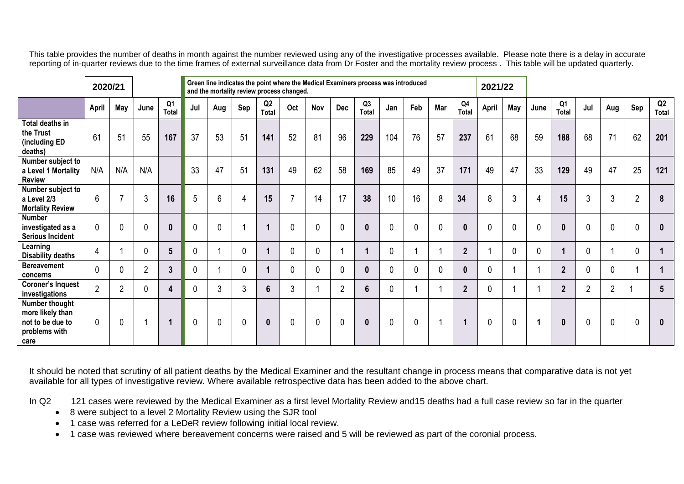This table provides the number of deaths in month against the number reviewed using any of the investigative processes available. Please note there is a delay in accurate reporting of in-quarter reviews due to the time frames of external surveillance data from Dr Foster and the mortality review process . This table will be updated quarterly.

|                                                                                 | 2020/21        |                |                |                                |             | Green line indicates the point where the Medical Examiners process was introduced<br>and the mortality review process changed. |                |                |                |             |                |                                |     |                          | 2021/22     |                |              |     |             |                  |                |                |                |                 |
|---------------------------------------------------------------------------------|----------------|----------------|----------------|--------------------------------|-------------|--------------------------------------------------------------------------------------------------------------------------------|----------------|----------------|----------------|-------------|----------------|--------------------------------|-----|--------------------------|-------------|----------------|--------------|-----|-------------|------------------|----------------|----------------|----------------|-----------------|
|                                                                                 | April          | May            | June           | Q <sub>1</sub><br><b>Total</b> | Jul         | Aug                                                                                                                            | Sep            | Q2<br>Total    | Oct            | Nov         | Dec            | Q <sub>3</sub><br><b>Total</b> | Jan | Feb                      | Mar         | Q4<br>Total    | <b>April</b> | May | June        | Q1<br>Total      | Jul            | Aug            | Sep            | Q2<br>Total     |
| Total deaths in<br>the Trust<br>(including ED<br>deaths)                        | 61             | 51             | 55             | 167                            | 37          | 53                                                                                                                             | 51             | 141            | 52             | 81          | 96             | 229                            | 104 | 76                       | 57          | 237            | 61           | 68  | 59          | 188              | 68             | 71             | 62             | 201             |
| Number subject to<br>a Level 1 Mortality<br><b>Review</b>                       | N/A            | N/A            | N/A            |                                | 33          | 47                                                                                                                             | 51             | 131            | 49             | 62          | 58             | 169                            | 85  | 49                       | 37          | 171            | 49           | 47  | 33          | 129              | 49             | 47             | 25             | 121             |
| Number subject to<br>a Level 2/3<br><b>Mortality Review</b>                     | 6              | 7              | 3              | 16                             | 5           | 6                                                                                                                              | $\overline{4}$ | 15             | $\overline{7}$ | 14          | 17             | 38                             | 10  | 16                       | 8           | 34             | 8            | 3   | 4           | 15               | 3              | 3              | $\overline{2}$ | 8               |
| <b>Number</b><br>investigated as a<br><b>Serious Incident</b>                   | 0              | $\mathbf 0$    | 0              | $\mathbf{0}$                   | $\mathbf 0$ | $\mathbf 0$                                                                                                                    |                | 1              | $\mathbf 0$    | $\mathbf 0$ | $\mathbf 0$    | $\boldsymbol{0}$               | 0   | $\mathbf 0$              | $\mathbf 0$ | $\mathbf{0}$   | $\mathbf 0$  | 0   | $\mathbf 0$ | $\boldsymbol{0}$ | $\mathbf 0$    | $\mathbf 0$    | 0              | $\mathbf{0}$    |
| Learning<br>Disability deaths                                                   | 4              |                | 0              | 5 <sup>5</sup>                 | 0           |                                                                                                                                | 0              | 1              | $\mathbf 0$    | 0           |                |                                | 0   |                          |             | $\overline{2}$ |              | 0   | 0           |                  | 0              |                | 0              |                 |
| <b>Bereavement</b><br>concerns                                                  | 0              | $\mathbf{0}$   | $\overline{2}$ | $\mathbf{3}$                   | 0           |                                                                                                                                | 0              | 1              | $\mathbf{0}$   | 0           | $\mathbf 0$    | $\bf{0}$                       | 0   | $\mathbf{0}$             | 0           | $\bf{0}$       | $\mathbf 0$  |     | ł           | $\overline{2}$   | 0              | $\mathbf 0$    |                |                 |
| <b>Coroner's Inquest</b><br>investigations                                      | $\overline{2}$ | $\overline{2}$ | 0              | 4                              | 0           | 3                                                                                                                              | 3              | $6\phantom{a}$ | 3              |             | $\overline{2}$ | $6\phantom{a}$                 | 0   | $\overline{\phantom{a}}$ |             | $\overline{2}$ | $\mathbf 0$  |     |             | $\mathbf{2}$     | $\overline{2}$ | $\overline{2}$ |                | $5\phantom{.0}$ |
| Number thought<br>more likely than<br>not to be due to<br>problems with<br>care | 0              | $\mathbf 0$    |                | $\blacktriangleleft$           | $\mathbf 0$ | $\mathbf 0$                                                                                                                    | $\mathbf 0$    | $\mathbf{0}$   | $\mathbf 0$    | $\mathbf 0$ | $\mathbf 0$    | $\boldsymbol{0}$               | 0   | $\mathbf 0$              |             |                | $\mathbf 0$  | 0   | 1           | $\boldsymbol{0}$ | $\mathbf 0$    | $\mathbf 0$    | 0              | 0               |

It should be noted that scrutiny of all patient deaths by the Medical Examiner and the resultant change in process means that comparative data is not yet available for all types of investigative review. Where available retrospective data has been added to the above chart.

In Q2 121 cases were reviewed by the Medical Examiner as a first level Mortality Review and15 deaths had a full case review so far in the quarter

- 8 were subject to a level 2 Mortality Review using the SJR tool
- 1 case was referred for a LeDeR review following initial local review.

1 case was reviewed where bereavement concerns were raised and 5 will be reviewed as part of the coronial process.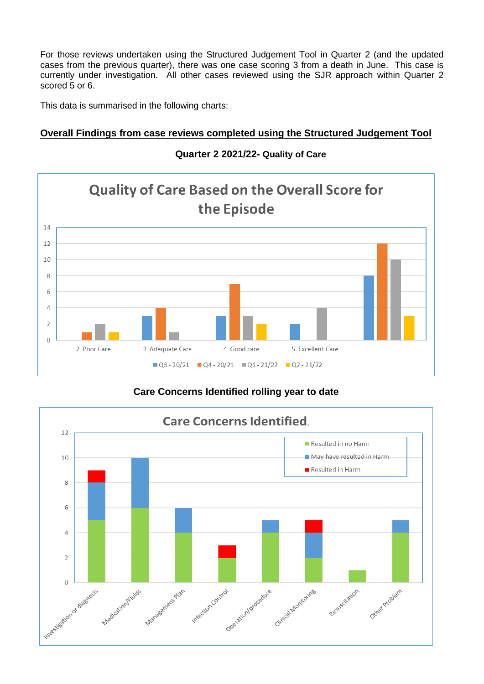For those reviews undertaken using the Structured Judgement Tool in Quarter 2 (and the updated cases from the previous quarter), there was one case scoring 3 from a death in June. This case is currently under investigation. All other cases reviewed using the SJR approach within Quarter 2 scored 5 or 6.

This data is summarised in the following charts:

# **Overall Findings from case reviews completed using the Structured Judgement Tool**



## **Quarter 2 2021/22- Quality of Care**

# **Care Concerns Identified rolling year to date**

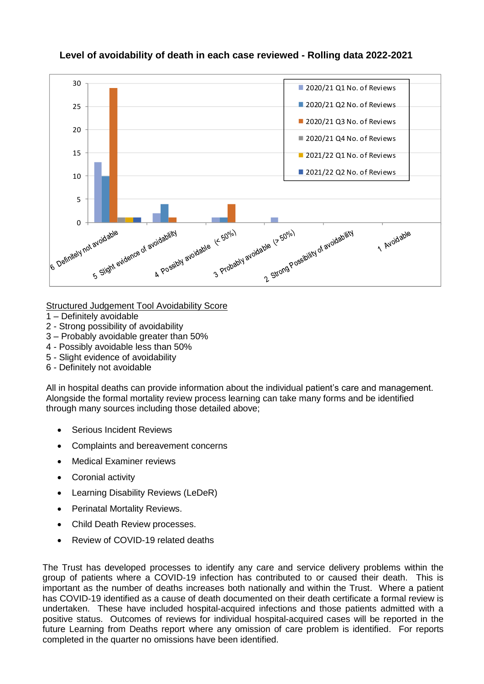

Structured Judgement Tool Avoidability Score

- 1 Definitely avoidable
- 2 Strong possibility of avoidability
- 3 Probably avoidable greater than 50%
- 4 Possibly avoidable less than 50%
- 5 Slight evidence of avoidability
- 6 Definitely not avoidable

All in hospital deaths can provide information about the individual patient's care and management. Alongside the formal mortality review process learning can take many forms and be identified through many sources including those detailed above;

- Serious Incident Reviews
- Complaints and bereavement concerns
- Medical Examiner reviews
- Coronial activity
- Learning Disability Reviews (LeDeR)
- Perinatal Mortality Reviews.
- Child Death Review processes.
- Review of COVID-19 related deaths

The Trust has developed processes to identify any care and service delivery problems within the group of patients where a COVID-19 infection has contributed to or caused their death. This is important as the number of deaths increases both nationally and within the Trust. Where a patient has COVID-19 identified as a cause of death documented on their death certificate a formal review is undertaken. These have included hospital-acquired infections and those patients admitted with a positive status. Outcomes of reviews for individual hospital-acquired cases will be reported in the future Learning from Deaths report where any omission of care problem is identified. For reports completed in the quarter no omissions have been identified.